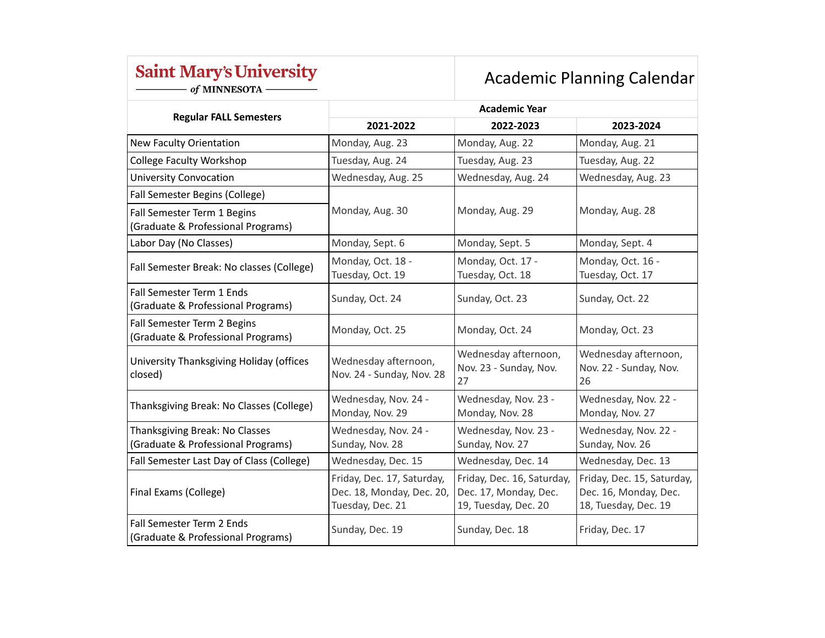## **Saint Mary's University**

- of MINNESOTA -

## Academic Planning Calendar

|                                                                      | <b>Academic Year</b>                                                        |                                                                             |                                                                             |  |
|----------------------------------------------------------------------|-----------------------------------------------------------------------------|-----------------------------------------------------------------------------|-----------------------------------------------------------------------------|--|
| <b>Regular FALL Semesters</b>                                        | 2021-2022                                                                   | 2022-2023                                                                   | 2023-2024                                                                   |  |
| New Faculty Orientation                                              | Monday, Aug. 23                                                             | Monday, Aug. 22                                                             | Monday, Aug. 21                                                             |  |
| <b>College Faculty Workshop</b>                                      | Tuesday, Aug. 24                                                            | Tuesday, Aug. 23                                                            | Tuesday, Aug. 22                                                            |  |
| <b>University Convocation</b>                                        | Wednesday, Aug. 25                                                          | Wednesday, Aug. 24                                                          | Wednesday, Aug. 23                                                          |  |
| Fall Semester Begins (College)                                       | Monday, Aug. 30                                                             | Monday, Aug. 29                                                             | Monday, Aug. 28                                                             |  |
| Fall Semester Term 1 Begins<br>(Graduate & Professional Programs)    |                                                                             |                                                                             |                                                                             |  |
| Labor Day (No Classes)                                               | Monday, Sept. 6                                                             | Monday, Sept. 5                                                             | Monday, Sept. 4                                                             |  |
| Fall Semester Break: No classes (College)                            | Monday, Oct. 18 -<br>Tuesday, Oct. 19                                       | Monday, Oct. 17 -<br>Tuesday, Oct. 18                                       | Monday, Oct. 16 -<br>Tuesday, Oct. 17                                       |  |
| Fall Semester Term 1 Ends<br>(Graduate & Professional Programs)      | Sunday, Oct. 24                                                             | Sunday, Oct. 23                                                             | Sunday, Oct. 22                                                             |  |
| Fall Semester Term 2 Begins<br>(Graduate & Professional Programs)    | Monday, Oct. 25                                                             | Monday, Oct. 24                                                             | Monday, Oct. 23                                                             |  |
| University Thanksgiving Holiday (offices<br>closed)                  | Wednesday afternoon,<br>Nov. 24 - Sunday, Nov. 28                           | Wednesday afternoon,<br>Nov. 23 - Sunday, Nov.<br>27                        | Wednesday afternoon,<br>Nov. 22 - Sunday, Nov.<br>26                        |  |
| Thanksgiving Break: No Classes (College)                             | Wednesday, Nov. 24 -<br>Monday, Nov. 29                                     | Wednesday, Nov. 23 -<br>Monday, Nov. 28                                     | Wednesday, Nov. 22 -<br>Monday, Nov. 27                                     |  |
| Thanksgiving Break: No Classes<br>(Graduate & Professional Programs) | Wednesday, Nov. 24 -<br>Sunday, Nov. 28                                     | Wednesday, Nov. 23 -<br>Sunday, Nov. 27                                     | Wednesday, Nov. 22 -<br>Sunday, Nov. 26                                     |  |
| Fall Semester Last Day of Class (College)                            | Wednesday, Dec. 15                                                          | Wednesday, Dec. 14                                                          | Wednesday, Dec. 13                                                          |  |
| Final Exams (College)                                                | Friday, Dec. 17, Saturday,<br>Dec. 18, Monday, Dec. 20,<br>Tuesday, Dec. 21 | Friday, Dec. 16, Saturday,<br>Dec. 17, Monday, Dec.<br>19, Tuesday, Dec. 20 | Friday, Dec. 15, Saturday,<br>Dec. 16, Monday, Dec.<br>18, Tuesday, Dec. 19 |  |
| Fall Semester Term 2 Ends<br>(Graduate & Professional Programs)      | Sunday, Dec. 19                                                             | Sunday, Dec. 18                                                             | Friday, Dec. 17                                                             |  |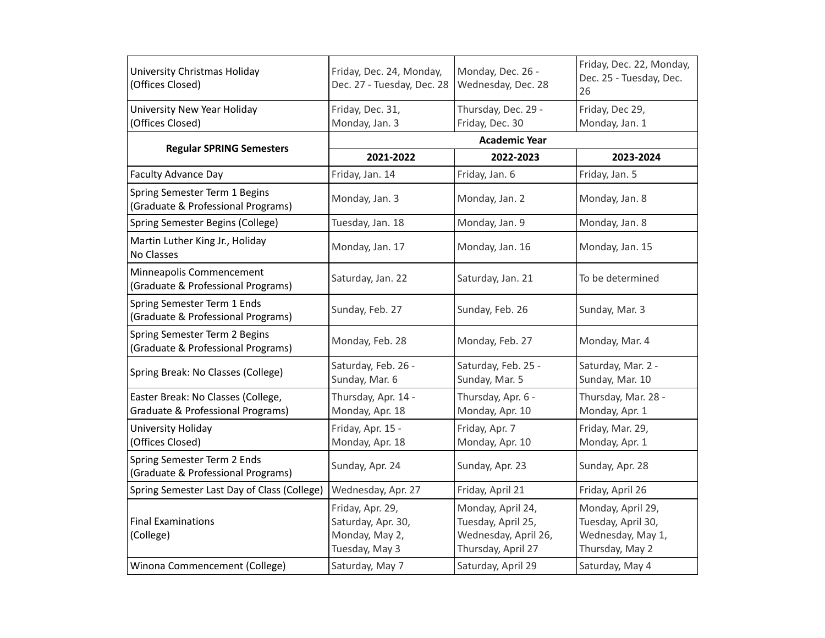| University Christmas Holiday<br>(Offices Closed)                        | Friday, Dec. 24, Monday,<br>Dec. 27 - Tuesday, Dec. 28                     | Monday, Dec. 26 -<br>Wednesday, Dec. 28                                               | Friday, Dec. 22, Monday,<br>Dec. 25 - Tuesday, Dec.<br>26                       |  |
|-------------------------------------------------------------------------|----------------------------------------------------------------------------|---------------------------------------------------------------------------------------|---------------------------------------------------------------------------------|--|
| University New Year Holiday<br>(Offices Closed)                         | Friday, Dec. 31,<br>Monday, Jan. 3                                         | Thursday, Dec. 29 -<br>Friday, Dec. 30                                                | Friday, Dec 29,<br>Monday, Jan. 1                                               |  |
|                                                                         | <b>Academic Year</b>                                                       |                                                                                       |                                                                                 |  |
| <b>Regular SPRING Semesters</b>                                         | 2021-2022                                                                  | 2022-2023                                                                             | 2023-2024                                                                       |  |
| <b>Faculty Advance Day</b>                                              | Friday, Jan. 14                                                            | Friday, Jan. 6                                                                        | Friday, Jan. 5                                                                  |  |
| Spring Semester Term 1 Begins<br>(Graduate & Professional Programs)     | Monday, Jan. 3                                                             | Monday, Jan. 2                                                                        | Monday, Jan. 8                                                                  |  |
| Spring Semester Begins (College)                                        | Tuesday, Jan. 18                                                           | Monday, Jan. 9                                                                        | Monday, Jan. 8                                                                  |  |
| Martin Luther King Jr., Holiday<br>No Classes                           | Monday, Jan. 17                                                            | Monday, Jan. 16                                                                       | Monday, Jan. 15                                                                 |  |
| Minneapolis Commencement<br>(Graduate & Professional Programs)          | Saturday, Jan. 22                                                          | Saturday, Jan. 21                                                                     | To be determined                                                                |  |
| Spring Semester Term 1 Ends<br>(Graduate & Professional Programs)       | Sunday, Feb. 27                                                            | Sunday, Feb. 26                                                                       | Sunday, Mar. 3                                                                  |  |
| Spring Semester Term 2 Begins<br>(Graduate & Professional Programs)     | Monday, Feb. 28                                                            | Monday, Feb. 27                                                                       | Monday, Mar. 4                                                                  |  |
| Spring Break: No Classes (College)                                      | Saturday, Feb. 26 -<br>Sunday, Mar. 6                                      | Saturday, Feb. 25 -<br>Sunday, Mar. 5                                                 | Saturday, Mar. 2 -<br>Sunday, Mar. 10                                           |  |
| Easter Break: No Classes (College,<br>Graduate & Professional Programs) | Thursday, Apr. 14 -<br>Monday, Apr. 18                                     | Thursday, Apr. 6 -<br>Monday, Apr. 10                                                 | Thursday, Mar. 28 -<br>Monday, Apr. 1                                           |  |
| University Holiday<br>(Offices Closed)                                  | Friday, Apr. 15 -<br>Monday, Apr. 18                                       | Friday, Apr. 7<br>Monday, Apr. 10                                                     | Friday, Mar. 29,<br>Monday, Apr. 1                                              |  |
| Spring Semester Term 2 Ends<br>(Graduate & Professional Programs)       | Sunday, Apr. 24                                                            | Sunday, Apr. 23                                                                       | Sunday, Apr. 28                                                                 |  |
| Spring Semester Last Day of Class (College)                             | Wednesday, Apr. 27                                                         | Friday, April 21                                                                      | Friday, April 26                                                                |  |
| <b>Final Examinations</b><br>(College)                                  | Friday, Apr. 29,<br>Saturday, Apr. 30,<br>Monday, May 2,<br>Tuesday, May 3 | Monday, April 24,<br>Tuesday, April 25,<br>Wednesday, April 26,<br>Thursday, April 27 | Monday, April 29,<br>Tuesday, April 30,<br>Wednesday, May 1,<br>Thursday, May 2 |  |
| Winona Commencement (College)                                           | Saturday, May 7                                                            | Saturday, April 29                                                                    | Saturday, May 4                                                                 |  |